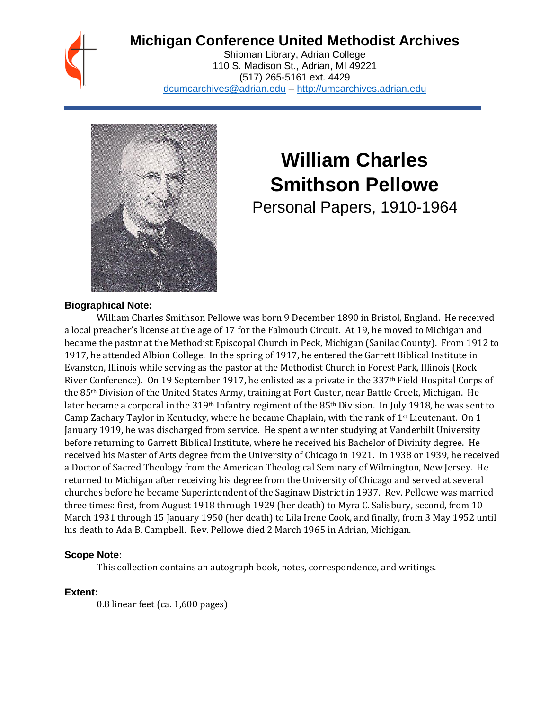# **Michigan Conference United Methodist Archives**

Shipman Library, Adrian College 110 S. Madison St., Adrian, MI 49221 (517) 265-5161 ext. 4429 [dcumcarchives@adrian.edu](mailto:dcumcarchives@adrian.edu) – [http://umcarchives.adrian.edu](http://umcarchives.adrian.edu/)



## **William Charles Smithson Pellowe**

Personal Papers, 1910-1964

#### **Biographical Note:**

William Charles Smithson Pellowe was born 9 December 1890 in Bristol, England. He received a local preacher's license at the age of 17 for the Falmouth Circuit. At 19, he moved to Michigan and became the pastor at the Methodist Episcopal Church in Peck, Michigan (Sanilac County). From 1912 to 1917, he attended Albion College. In the spring of 1917, he entered the Garrett Biblical Institute in Evanston, Illinois while serving as the pastor at the Methodist Church in Forest Park, Illinois (Rock River Conference). On 19 September 1917, he enlisted as a private in the 337<sup>th</sup> Field Hospital Corps of the 85th Division of the United States Army, training at Fort Custer, near Battle Creek, Michigan. He later became a corporal in the 319th Infantry regiment of the 85th Division. In July 1918, he was sent to Camp Zachary Taylor in Kentucky, where he became Chaplain, with the rank of  $1<sup>st</sup>$  Lieutenant. On 1 January 1919, he was discharged from service. He spent a winter studying at Vanderbilt University before returning to Garrett Biblical Institute, where he received his Bachelor of Divinity degree. He received his Master of Arts degree from the University of Chicago in 1921. In 1938 or 1939, he received a Doctor of Sacred Theology from the American Theological Seminary of Wilmington, New Jersey. He returned to Michigan after receiving his degree from the University of Chicago and served at several churches before he became Superintendent of the Saginaw District in 1937. Rev. Pellowe was married three times: first, from August 1918 through 1929 (her death) to Myra C. Salisbury, second, from 10 March 1931 through 15 January 1950 (her death) to Lila Irene Cook, and finally, from 3 May 1952 until his death to Ada B. Campbell. Rev. Pellowe died 2 March 1965 in Adrian, Michigan.

## **Scope Note:**

This collection contains an autograph book, notes, correspondence, and writings.

## **Extent:**

0.8 linear feet (ca. 1,600 pages)

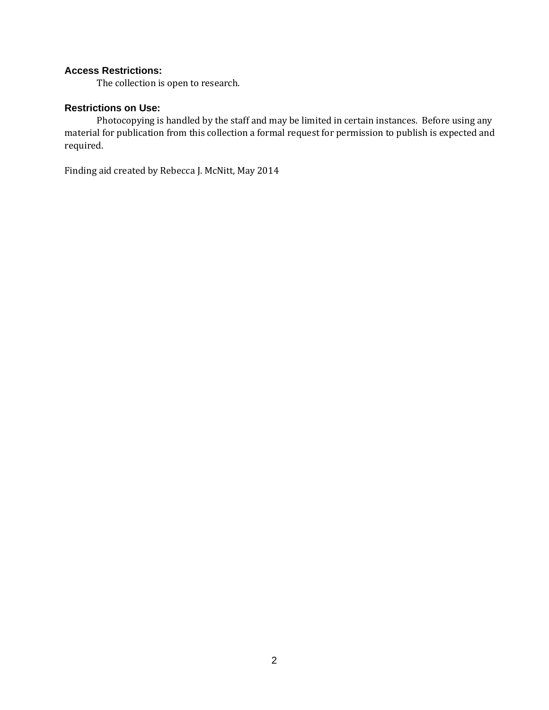## **Access Restrictions:**

The collection is open to research.

#### **Restrictions on Use:**

Photocopying is handled by the staff and may be limited in certain instances. Before using any material for publication from this collection a formal request for permission to publish is expected and required.

Finding aid created by Rebecca J. McNitt, May 2014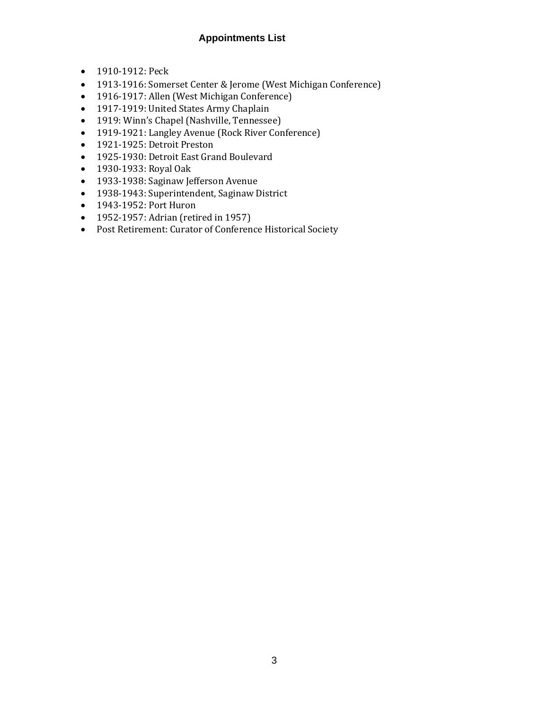## **Appointments List**

- 1910-1912: Peck
- 1913-1916: Somerset Center & Jerome (West Michigan Conference)
- 1916-1917: Allen (West Michigan Conference)
- 1917-1919: United States Army Chaplain
- 1919: Winn's Chapel (Nashville, Tennessee)
- 1919-1921: Langley Avenue (Rock River Conference)
- 1921-1925: Detroit Preston
- 1925-1930: Detroit East Grand Boulevard
- 1930-1933: Royal Oak
- 1933-1938: Saginaw Jefferson Avenue
- 1938-1943: Superintendent, Saginaw District
- 1943-1952: Port Huron
- 1952-1957: Adrian (retired in 1957)
- Post Retirement: Curator of Conference Historical Society